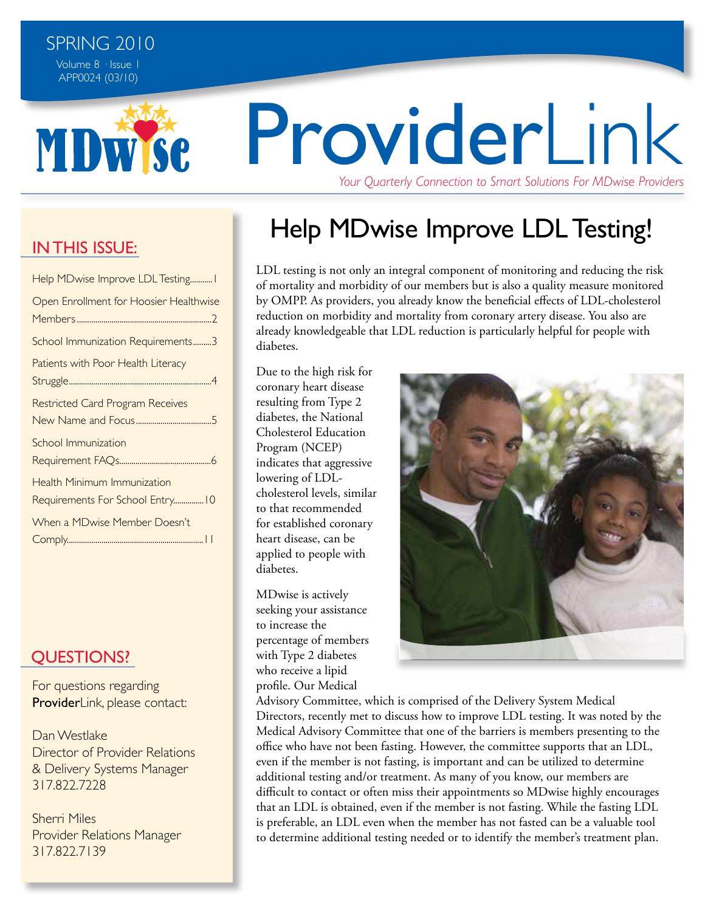

# ProviderLink *Your Quarterly Connection to Smart Solutions For MDwise Providers*

Help MDwise Improve LDL Testing!

LDL testing is not only an integral component of monitoring and reducing the risk of mortality and morbidity of our members but is also a quality measure monitored by OMPP. As providers, you already know the beneficial effects of LDL-cholesterol reduction on morbidity and mortality from coronary artery disease. You also are already knowledgeable that LDL reduction is particularly helpful for people with diabetes.

Due to the high risk for coronary heart disease resulting from Type 2 diabetes, the National Cholesterol Education Program (NCEP) indicates that aggressive lowering of LDLcholesterol levels, similar to that recommended for established coronary heart disease, can be applied to people with diabetes.

MDwise is actively seeking your assistance to increase the percentage of members with Type 2 diabetes who receive a lipid profile. Our Medical



Advisory Committee, which is comprised of the Delivery System Medical Directors, recently met to discuss how to improve LDL testing. It was noted by the Medical Advisory Committee that one of the barriers is members presenting to the office who have not been fasting. However, the committee supports that an LDL, even if the member is not fasting, is important and can be utilized to determine additional testing and/or treatment. As many of you know, our members are difficult to contact or often miss their appointments so MDwise highly encourages that an LDL is obtained, even if the member is not fasting. While the fasting LDL is preferable, an LDL even when the member has not fasted can be a valuable tool to determine additional testing needed or to identify the member's treatment plan.

#### **IN THIS ISSUE:**

| Help MDwise Improve LDL Testing I                                      |
|------------------------------------------------------------------------|
| Open Enrollment for Hoosier Healthwise                                 |
| School Immunization Requirements3                                      |
| Patients with Poor Health Literacy                                     |
| <b>Restricted Card Program Receives</b>                                |
| School Immunization                                                    |
| <b>Health Minimum Immunization</b><br>Requirements For School Entry 10 |
| When a MDwise Member Doesn't                                           |

#### **OUESTIONS?**

For questions regarding ProviderLink, please contact:

Dan Westlake Director of Provider Relations & Delivery Systems Manager 317.822.7228

Sherri Miles Provider Relations Manager 317.822.7139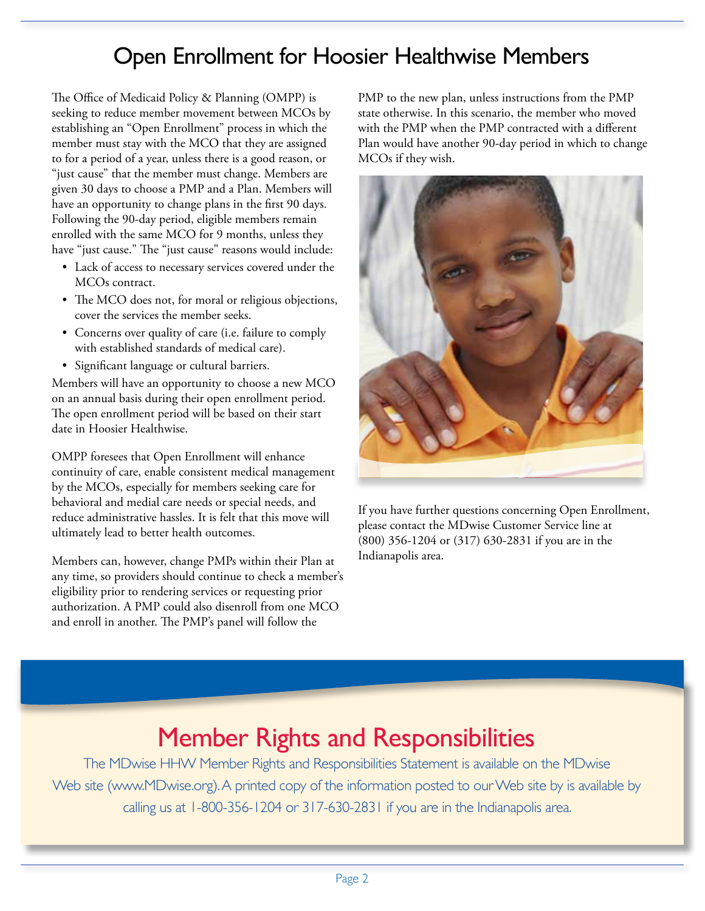### Open Enrollment for Hoosier Healthwise Members

The Office of Medicaid Policy & Planning (OMPP) is seeking to reduce member movement between MCOs by establishing an "Open Enrollment" process in which the member must stay with the MCO that they are assigned to for a period of a year, unless there is a good reason, or "just cause" that the member must change. Members are given 30 days to choose a PMP and a Plan. Members will have an opportunity to change plans in the first 90 days. Following the 90-day period, eligible members remain enrolled with the same MCO for 9 months, unless they have "just cause." The "just cause" reasons would include:

- Lack of access to necessary services covered under the MCOs contract.
- The MCO does not, for moral or religious objections, cover the services the member seeks.
- Concerns over quality of care (i.e. failure to comply with established standards of medical care).
- Significant language or cultural barriers.

Members will have an opportunity to choose a new MCO on an annual basis during their open enrollment period. The open enrollment period will be based on their start date in Hoosier Healthwise.

OMPP foresees that Open Enrollment will enhance continuity of care, enable consistent medical management by the MCOs, especially for members seeking care for behavioral and medial care needs or special needs, and reduce administrative hassles. It is felt that this move will ultimately lead to better health outcomes.

Members can, however, change PMPs within their Plan at any time, so providers should continue to check a member's eligibility prior to rendering services or requesting prior authorization. A PMP could also disenroll from one MCO and enroll in another. The PMP's panel will follow the

PMP to the new plan, unless instructions from the PMP state otherwise. In this scenario, the member who moved with the PMP when the PMP contracted with a different Plan would have another 90-day period in which to change MCOs if they wish.



If you have further questions concerning Open Enrollment, please contact the MDwise Customer Service line at (800) 356-1204 or (317) 630-2831 if you are in the Indianapolis area.

# Member Rights and Responsibilities

The MDwise HHW Member Rights and Responsibilities Statement is available on the MDwise Web site (www.MDwise.org). A printed copy of the information posted to our Web site by is available by calling us at 1-800-356-1204 or 317-630-2831 if you are in the Indianapolis area.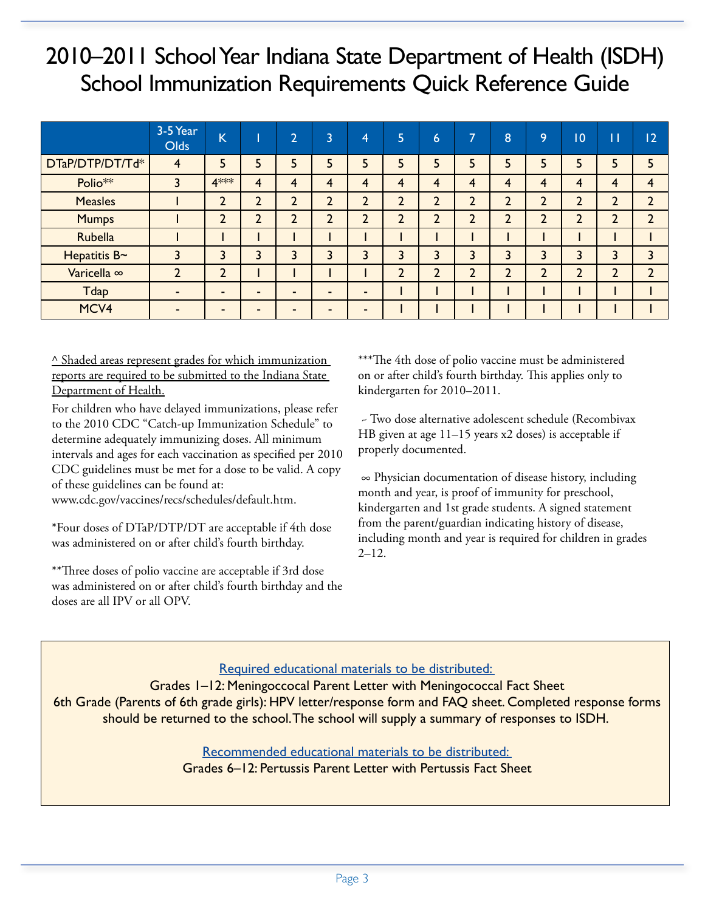## 2010–2011 School Year Indiana State Department of Health (ISDH) School Immunization Requirements Quick Reference Guide

|                 | 3-5 Year<br><b>Olds</b> | $\overline{\mathsf{K}}$ |                | $\overline{2}$          | 3              | 4              | כ            | 6  | $\overline{ }$ | 8              | 9              | 0              | П              | 2                            |
|-----------------|-------------------------|-------------------------|----------------|-------------------------|----------------|----------------|--------------|----|----------------|----------------|----------------|----------------|----------------|------------------------------|
| DTaP/DTP/DT/Td* | 4                       | 5                       | 5              | 5                       | 5              | 5              |              | 5  |                | 5              | 5              | 5              | 5              | 5                            |
| Polio**         | 3                       | 4***                    | $\overline{4}$ | $\overline{\mathbf{4}}$ | 4              | 4              | 4            | 4  | 4              | 4              | 4              | $\overline{4}$ | $\overline{4}$ | 4                            |
| <b>Measles</b>  |                         | C<br><u>L</u>           | $\overline{2}$ | $\overline{2}$          | $\overline{2}$ | $\overline{2}$ | <sup>1</sup> | L  | ำ<br>L         | $\overline{2}$ | $\overline{2}$ | $\overline{2}$ | $\overline{2}$ | $\overline{2}$               |
| <b>Mumps</b>    |                         | C<br>∠                  | $\overline{2}$ | $\overline{2}$          | $\overline{2}$ | ำ              | C            | C. | ำ              | ำ              | C              | C              | $\overline{2}$ | $\overline{2}$               |
| Rubella         |                         |                         |                |                         |                |                |              |    |                |                |                |                |                |                              |
| Hepatitis B~    | 3                       | 3                       | 3              | 3                       | 3              | 3              | 3            | 3  | 3              | 3              | 3              | 3              | 3              | 3                            |
| Varicella ∞     | $\overline{2}$          | ำ<br>$\blacktriangle$   |                |                         |                |                | <sup>1</sup> | C  | C.             | $\overline{2}$ | C<br>∠         | $\overline{2}$ | $\overline{2}$ | <sup>1</sup><br>$\mathbf{r}$ |
| <b>Tdap</b>     | $\sim$                  | -                       | $\blacksquare$ |                         | $\sim$         | $\sim$         |              |    |                |                |                |                |                |                              |
| MCV4            | ۰.                      |                         |                |                         | -              |                |              |    |                |                |                |                |                |                              |

 $\wedge$  Shaded areas represent grades for which immunization reports are required to be submitted to the Indiana State Department of Health.

For children who have delayed immunizations, please refer to the 2010 CDC "Catch-up Immunization Schedule" to determine adequately immunizing doses. All minimum intervals and ages for each vaccination as specified per 2010 CDC guidelines must be met for a dose to be valid. A copy of these guidelines can be found at:

www.cdc.gov/vaccines/recs/schedules/default.htm.

\*Four doses of DTaP/DTP/DT are acceptable if 4th dose was administered on or after child's fourth birthday.

\*\*Three doses of polio vaccine are acceptable if 3rd dose was administered on or after child's fourth birthday and the doses are all IPV or all OPV.

\*\*\*The 4th dose of polio vaccine must be administered on or after child's fourth birthday. This applies only to kindergarten for 2010–2011.

 ~ Two dose alternative adolescent schedule (Recombivax HB given at age 11–15 years x2 doses) is acceptable if properly documented.

 ∞ Physician documentation of disease history, including month and year, is proof of immunity for preschool, kindergarten and 1st grade students. A signed statement from the parent/guardian indicating history of disease, including month and year is required for children in grades  $2 - 12.$ 

#### Required educational materials to be distributed:

 Grades 1–12: Meningoccocal Parent Letter with Meningococcal Fact Sheet 6th Grade (Parents of 6th grade girls): HPV letter/response form and FAQ sheet. Completed response forms should be returned to the school. The school will supply a summary of responses to ISDH.

> Recommended educational materials to be distributed: Grades 6–12: Pertussis Parent Letter with Pertussis Fact Sheet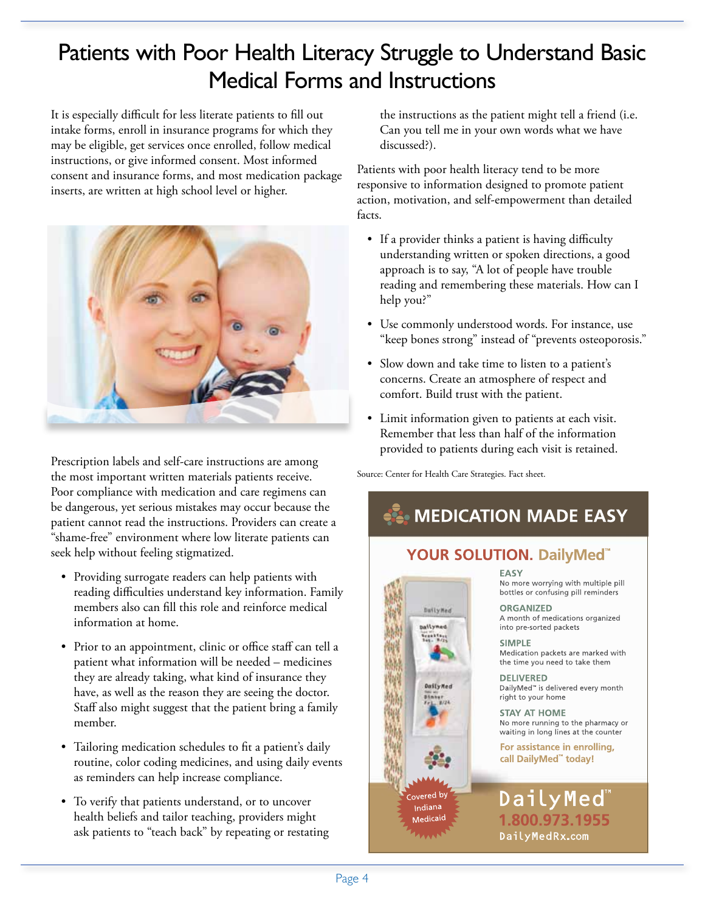# Patients with Poor Health Literacy Struggle to Understand Basic Medical Forms and Instructions

It is especially difficult for less literate patients to fill out intake forms, enroll in insurance programs for which they may be eligible, get services once enrolled, follow medical instructions, or give informed consent. Most informed consent and insurance forms, and most medication package inserts, are written at high school level or higher.



Prescription labels and self-care instructions are among the most important written materials patients receive. Poor compliance with medication and care regimens can be dangerous, yet serious mistakes may occur because the patient cannot read the instructions. Providers can create a "shame-free" environment where low literate patients can seek help without feeling stigmatized.

- • Providing surrogate readers can help patients with reading difficulties understand key information. Family members also can fill this role and reinforce medical information at home.
- Prior to an appointment, clinic or office staff can tell a patient what information will be needed – medicines they are already taking, what kind of insurance they have, as well as the reason they are seeing the doctor. Staff also might suggest that the patient bring a family member.
- • Tailoring medication schedules to fit a patient's daily routine, color coding medicines, and using daily events as reminders can help increase compliance.
- To verify that patients understand, or to uncover health beliefs and tailor teaching, providers might ask patients to "teach back" by repeating or restating

the instructions as the patient might tell a friend (i.e. Can you tell me in your own words what we have discussed?).

Patients with poor health literacy tend to be more responsive to information designed to promote patient action, motivation, and self-empowerment than detailed facts.

- If a provider thinks a patient is having difficulty understanding written or spoken directions, a good approach is to say, "A lot of people have trouble reading and remembering these materials. How can I help you?"
- • Use commonly understood words. For instance, use "keep bones strong" instead of "prevents osteoporosis."
- Slow down and take time to listen to a patient's concerns. Create an atmosphere of respect and comfort. Build trust with the patient.
- • Limit information given to patients at each visit. Remember that less than half of the information provided to patients during each visit is retained.

Source: Center for Health Care Strategies. Fact sheet.

### **AL MEDICATION MADE EASY**

#### YOUR SOLUTION. DailyMed<sup>"</sup>

DailyMed bailyned Seabhtast<br>Bas-B/25 MW 幽 DailyNed overed by Indiana Medicaid

**FASY** No more worrying with multiple pill bottles or confusing pill reminders

**ORGANIZED** A month of medications organized into pre-sorted packets

**SIMPLE** Medication packets are marked with the time you need to take them

**DELIVERED** DailyMed<sup>™</sup> is delivered every month right to your home

**STAY AT HOME** No more running to the pharmacy or waiting in long lines at the counter

For assistance in enrolling, call DailyMed" today!

#### DailyMed 1.800.973.1955 DailyMedRx.com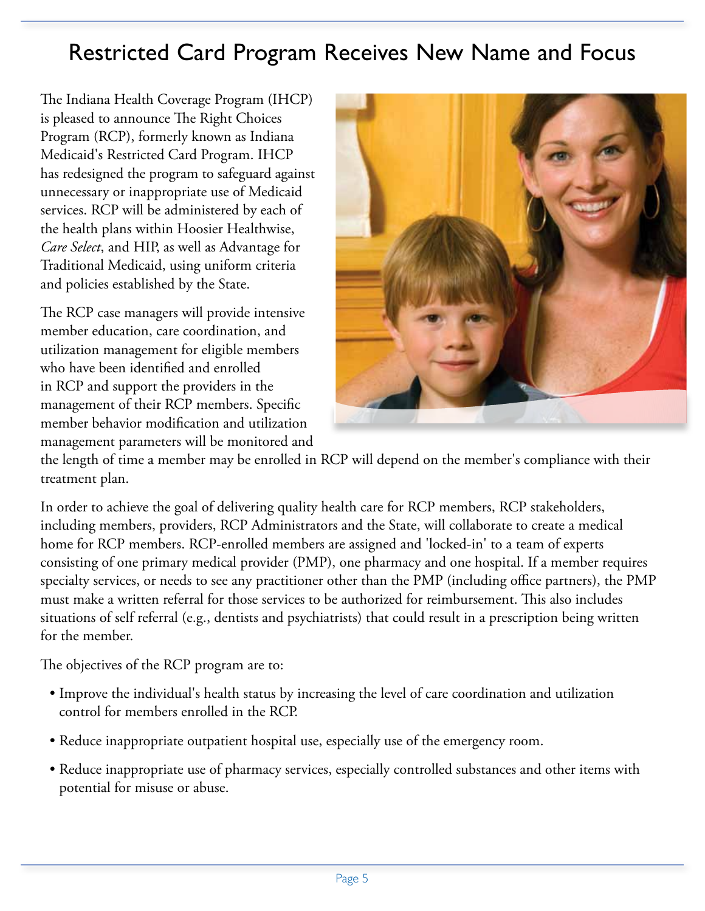## Restricted Card Program Receives New Name and Focus

The Indiana Health Coverage Program (IHCP) is pleased to announce The Right Choices Program (RCP), formerly known as Indiana Medicaid's Restricted Card Program. IHCP has redesigned the program to safeguard against unnecessary or inappropriate use of Medicaid services. RCP will be administered by each of the health plans within Hoosier Healthwise, *Care Select*, and HIP, as well as Advantage for Traditional Medicaid, using uniform criteria and policies established by the State.

The RCP case managers will provide intensive member education, care coordination, and utilization management for eligible members who have been identified and enrolled in RCP and support the providers in the management of their RCP members. Specific member behavior modification and utilization management parameters will be monitored and



the length of time a member may be enrolled in RCP will depend on the member's compliance with their treatment plan.

In order to achieve the goal of delivering quality health care for RCP members, RCP stakeholders, including members, providers, RCP Administrators and the State, will collaborate to create a medical home for RCP members. RCP-enrolled members are assigned and 'locked-in' to a team of experts consisting of one primary medical provider (PMP), one pharmacy and one hospital. If a member requires specialty services, or needs to see any practitioner other than the PMP (including office partners), the PMP must make a written referral for those services to be authorized for reimbursement. This also includes situations of self referral (e.g., dentists and psychiatrists) that could result in a prescription being written for the member.

The objectives of the RCP program are to:

- Improve the individual's health status by increasing the level of care coordination and utilization control for members enrolled in the RCP.
- Reduce inappropriate outpatient hospital use, especially use of the emergency room.
- Reduce inappropriate use of pharmacy services, especially controlled substances and other items with potential for misuse or abuse.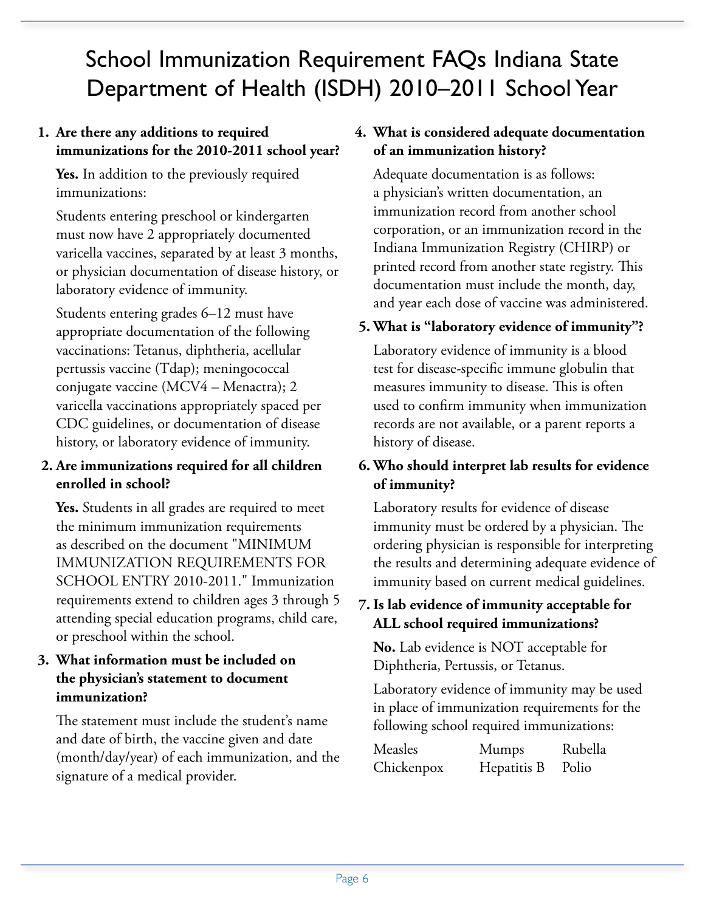# School Immunization Requirement FAQs Indiana State Department of Health (ISDH) 2010–2011 School Year

#### **1. Are there any additions to required immunizations for the 2010-2011 school year?**

 **Yes.** In addition to the previously required immunizations:

 Students entering preschool or kindergarten must now have 2 appropriately documented varicella vaccines, separated by at least 3 months, or physician documentation of disease history, or laboratory evidence of immunity.

 Students entering grades 6–12 must have appropriate documentation of the following vaccinations: Tetanus, diphtheria, acellular pertussis vaccine (Tdap); meningococcal conjugate vaccine (MCV4 – Menactra); 2 varicella vaccinations appropriately spaced per CDC guidelines, or documentation of disease history, or laboratory evidence of immunity.

#### **2. Are immunizations required for all children enrolled in school?**

 **Yes.** Students in all grades are required to meet the minimum immunization requirements as described on the document "MINIMUM IMMUNIZATION REQUIREMENTS FOR SCHOOL ENTRY 2010-2011." Immunization requirements extend to children ages 3 through 5 attending special education programs, child care, or preschool within the school.

#### **3. What information must be included on the physician's statement to document immunization?**

 The statement must include the student's name and date of birth, the vaccine given and date (month/day/year) of each immunization, and the signature of a medical provider.

#### **4. What is considered adequate documentation of an immunization history?**

 Adequate documentation is as follows: a physician's written documentation, an immunization record from another school corporation, or an immunization record in the Indiana Immunization Registry (CHIRP) or printed record from another state registry. This documentation must include the month, day, and year each dose of vaccine was administered.

#### **5. What is "laboratory evidence of immunity"?**

 Laboratory evidence of immunity is a blood test for disease-specific immune globulin that measures immunity to disease. This is often used to confirm immunity when immunization records are not available, or a parent reports a history of disease.

#### **6. Who should interpret lab results for evidence of immunity?**

 Laboratory results for evidence of disease immunity must be ordered by a physician. The ordering physician is responsible for interpreting the results and determining adequate evidence of immunity based on current medical guidelines.

#### **7. Is lab evidence of immunity acceptable for ALL school required immunizations?**

 **No.** Lab evidence is NOT acceptable for Diphtheria, Pertussis, or Tetanus.

 Laboratory evidence of immunity may be used in place of immunization requirements for the following school required immunizations:

| Measles    | Mumps       | Rubella |
|------------|-------------|---------|
| Chickenpox | Hepatitis B | Polio   |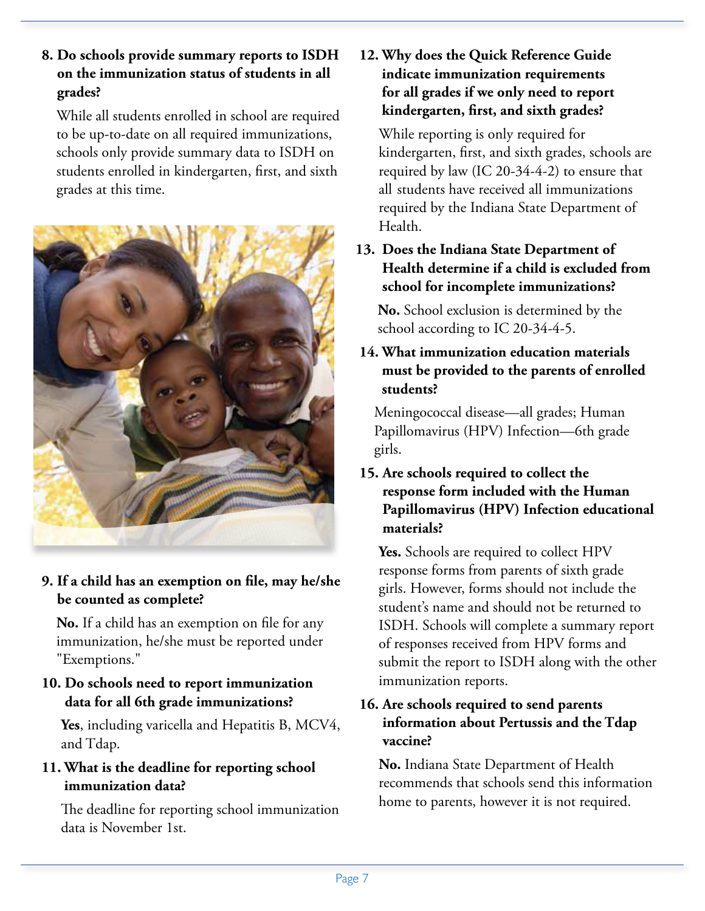**8. Do schools provide summary reports to ISDH on the immunization status of students in all grades?** 

 While all students enrolled in school are required to be up-to-date on all required immunizations, schools only provide summary data to ISDH on students enrolled in kindergarten, first, and sixth grades at this time.



**9. If a child has an exemption on file, may he/she be counted as complete?** 

 **No.** If a child has an exemption on file for any immunization, he/she must be reported under "Exemptions."

**10. Do schools need to report immunization data for all 6th grade immunizations?** 

 **Yes**, including varicella and Hepatitis B, MCV4, and Tdap.

#### **11. What is the deadline for reporting school immunization data?**

 The deadline for reporting school immunization data is November 1st.

**12. Why does the Quick Reference Guide indicate immunization requirements for all grades if we only need to report kindergarten, first, and sixth grades?** 

 While reporting is only required for kindergarten, first, and sixth grades, schools are required by law (IC 20-34-4-2) to ensure that all students have received all immunizations required by the Indiana State Department of Health.

**13. Does the Indiana State Department of Health determine if a child is excluded from school for incomplete immunizations?** 

 **No.** School exclusion is determined by the school according to IC 20-34-4-5.

**14. What immunization education materials must be provided to the parents of enrolled students?**

 Meningococcal disease—all grades; Human Papillomavirus (HPV) Infection—6th grade girls.

#### **15. Are schools required to collect the response form included with the Human Papillomavirus (HPV) Infection educational materials?**

 **Yes.** Schools are required to collect HPV response forms from parents of sixth grade girls. However, forms should not include the student's name and should not be returned to ISDH. Schools will complete a summary report of responses received from HPV forms and submit the report to ISDH along with the other immunization reports.

#### **16. Are schools required to send parents information about Pertussis and the Tdap vaccine?**

 **No.** Indiana State Department of Health recommends that schools send this information home to parents, however it is not required.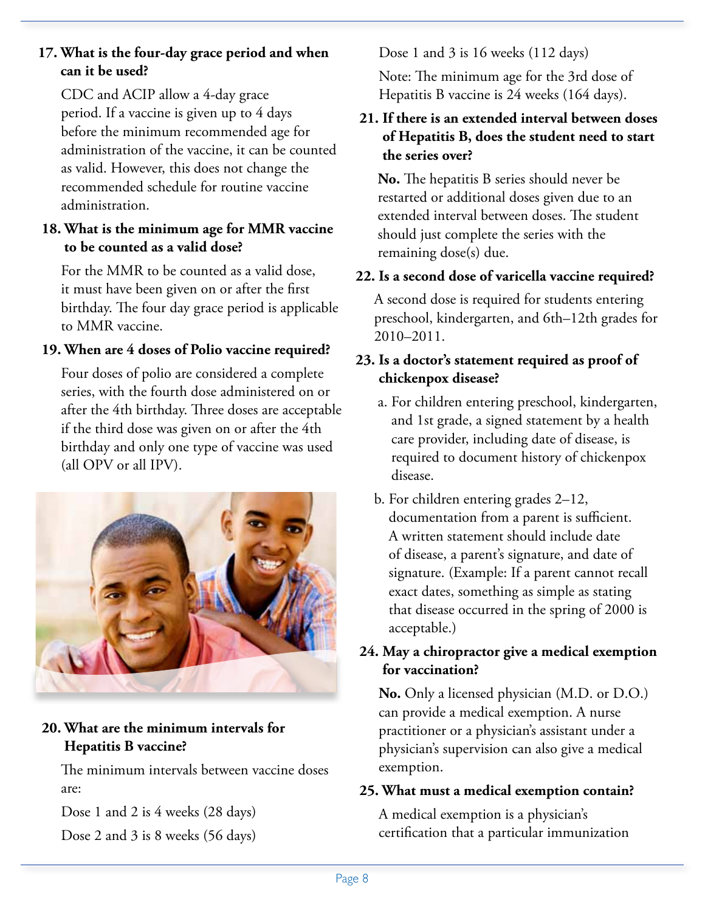#### **17. What is the four-day grace period and when can it be used?**

 CDC and ACIP allow a 4-day grace period. If a vaccine is given up to 4 days before the minimum recommended age for administration of the vaccine, it can be counted as valid. However, this does not change the recommended schedule for routine vaccine administration.

#### **18. What is the minimum age for MMR vaccine to be counted as a valid dose?**

 For the MMR to be counted as a valid dose, it must have been given on or after the first birthday. The four day grace period is applicable to MMR vaccine.

#### **19. When are 4 doses of Polio vaccine required?**

 Four doses of polio are considered a complete series, with the fourth dose administered on or after the 4th birthday. Three doses are acceptable if the third dose was given on or after the 4th birthday and only one type of vaccine was used (all OPV or all IPV).



#### **20. What are the minimum intervals for Hepatitis B vaccine?**

 The minimum intervals between vaccine doses are:

 Dose 1 and 2 is 4 weeks (28 days) Dose 2 and 3 is 8 weeks (56 days) Dose 1 and 3 is 16 weeks (112 days)

 Note: The minimum age for the 3rd dose of Hepatitis B vaccine is 24 weeks (164 days).

#### **21. If there is an extended interval between doses of Hepatitis B, does the student need to start the series over?**

 **No.** The hepatitis B series should never be restarted or additional doses given due to an extended interval between doses. The student should just complete the series with the remaining dose(s) due.

#### **22. Is a second dose of varicella vaccine required?**

 A second dose is required for students entering preschool, kindergarten, and 6th–12th grades for 2010–2011.

#### **23. Is a doctor's statement required as proof of chickenpox disease?**

- a. For children entering preschool, kindergarten, and 1st grade, a signed statement by a health care provider, including date of disease, is required to document history of chickenpox disease.
- b. For children entering grades 2–12, documentation from a parent is sufficient. A written statement should include date of disease, a parent's signature, and date of signature. (Example: If a parent cannot recall exact dates, something as simple as stating that disease occurred in the spring of 2000 is acceptable.)

#### **24. May a chiropractor give a medical exemption for vaccination?**

 **No.** Only a licensed physician (M.D. or D.O.) can provide a medical exemption. A nurse practitioner or a physician's assistant under a physician's supervision can also give a medical exemption.

#### **25. What must a medical exemption contain?**

 A medical exemption is a physician's certification that a particular immunization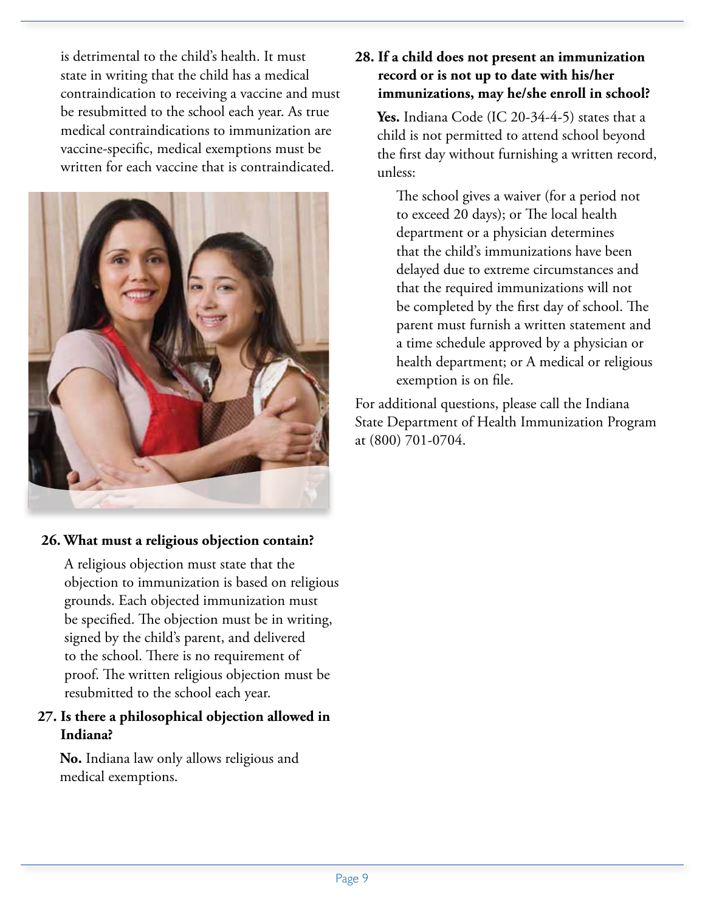is detrimental to the child's health. It must state in writing that the child has a medical contraindication to receiving a vaccine and must be resubmitted to the school each year. As true medical contraindications to immunization are vaccine-specific, medical exemptions must be written for each vaccine that is contraindicated.



#### **26. What must a religious objection contain?**

 A religious objection must state that the objection to immunization is based on religious grounds. Each objected immunization must be specified. The objection must be in writing, signed by the child's parent, and delivered to the school. There is no requirement of proof. The written religious objection must be resubmitted to the school each year.

#### **27. Is there a philosophical objection allowed in Indiana?**

 **No.** Indiana law only allows religious and medical exemptions.

#### **28. If a child does not present an immunization record or is not up to date with his/her immunizations, may he/she enroll in school?**

Yes. Indiana Code (IC 20-34-4-5) states that a child is not permitted to attend school beyond the first day without furnishing a written record, unless:

 The school gives a waiver (for a period not to exceed 20 days); or The local health department or a physician determines that the child's immunizations have been delayed due to extreme circumstances and that the required immunizations will not be completed by the first day of school. The parent must furnish a written statement and a time schedule approved by a physician or health department; or A medical or religious exemption is on file.

For additional questions, please call the Indiana State Department of Health Immunization Program at (800) 701-0704.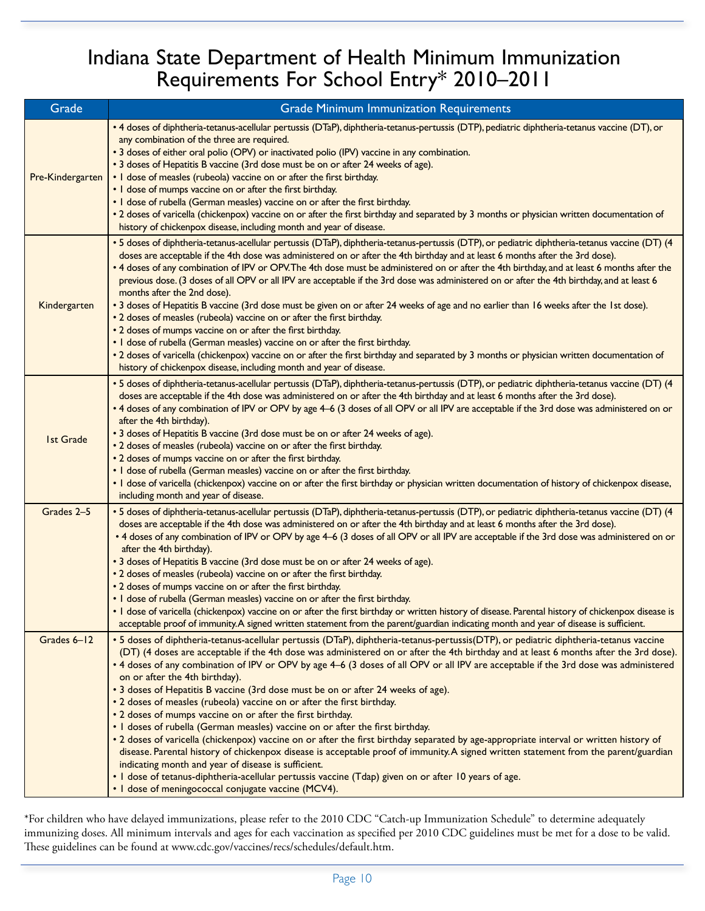### Indiana State Department of Health Minimum Immunization Requirements For School Entry\* 2010–2011

| Grade            | <b>Grade Minimum Immunization Requirements</b>                                                                                                                                                                                                                                                                                                                                                                                                                                                                                                                                                                                                                                                                                                                                                                                                                                                                                                                                                                                                                                                                                                                                                                                                                                 |
|------------------|--------------------------------------------------------------------------------------------------------------------------------------------------------------------------------------------------------------------------------------------------------------------------------------------------------------------------------------------------------------------------------------------------------------------------------------------------------------------------------------------------------------------------------------------------------------------------------------------------------------------------------------------------------------------------------------------------------------------------------------------------------------------------------------------------------------------------------------------------------------------------------------------------------------------------------------------------------------------------------------------------------------------------------------------------------------------------------------------------------------------------------------------------------------------------------------------------------------------------------------------------------------------------------|
| Pre-Kindergarten | . 4 doses of diphtheria-tetanus-acellular pertussis (DTaP), diphtheria-tetanus-pertussis (DTP), pediatric diphtheria-tetanus vaccine (DT), or<br>any combination of the three are required.<br>• 3 doses of either oral polio (OPV) or inactivated polio (IPV) vaccine in any combination.<br>• 3 doses of Hepatitis B vaccine (3rd dose must be on or after 24 weeks of age).<br>• I dose of measles (rubeola) vaccine on or after the first birthday.<br>. I dose of mumps vaccine on or after the first birthday.<br>. I dose of rubella (German measles) vaccine on or after the first birthday.<br>. 2 doses of varicella (chickenpox) vaccine on or after the first birthday and separated by 3 months or physician written documentation of<br>history of chickenpox disease, including month and year of disease.                                                                                                                                                                                                                                                                                                                                                                                                                                                      |
| Kindergarten     | • 5 doses of diphtheria-tetanus-acellular pertussis (DTaP), diphtheria-tetanus-pertussis (DTP), or pediatric diphtheria-tetanus vaccine (DT) (4<br>doses are acceptable if the 4th dose was administered on or after the 4th birthday and at least 6 months after the 3rd dose).<br>. 4 doses of any combination of IPV or OPV. The 4th dose must be administered on or after the 4th birthday, and at least 6 months after the<br>previous dose. (3 doses of all OPV or all IPV are acceptable if the 3rd dose was administered on or after the 4th birthday, and at least 6<br>months after the 2nd dose).<br>• 3 doses of Hepatitis B vaccine (3rd dose must be given on or after 24 weeks of age and no earlier than 16 weeks after the 1st dose).<br>• 2 doses of measles (rubeola) vaccine on or after the first birthday.<br>• 2 doses of mumps vaccine on or after the first birthday.<br>. I dose of rubella (German measles) vaccine on or after the first birthday.<br>. 2 doses of varicella (chickenpox) vaccine on or after the first birthday and separated by 3 months or physician written documentation of<br>history of chickenpox disease, including month and year of disease.                                                                            |
| <b>Ist Grade</b> | • 5 doses of diphtheria-tetanus-acellular pertussis (DTaP), diphtheria-tetanus-pertussis (DTP), or pediatric diphtheria-tetanus vaccine (DT) (4<br>doses are acceptable if the 4th dose was administered on or after the 4th birthday and at least 6 months after the 3rd dose).<br>. 4 doses of any combination of IPV or OPV by age 4-6 (3 doses of all OPV or all IPV are acceptable if the 3rd dose was administered on or<br>after the 4th birthday).<br>• 3 doses of Hepatitis B vaccine (3rd dose must be on or after 24 weeks of age).<br>• 2 doses of measles (rubeola) vaccine on or after the first birthday.<br>• 2 doses of mumps vaccine on or after the first birthday.<br>. I dose of rubella (German measles) vaccine on or after the first birthday.<br>• I dose of varicella (chickenpox) vaccine on or after the first birthday or physician written documentation of history of chickenpox disease,<br>including month and year of disease.                                                                                                                                                                                                                                                                                                               |
| Grades 2-5       | • 5 doses of diphtheria-tetanus-acellular pertussis (DTaP), diphtheria-tetanus-pertussis (DTP), or pediatric diphtheria-tetanus vaccine (DT) (4<br>doses are acceptable if the 4th dose was administered on or after the 4th birthday and at least 6 months after the 3rd dose).<br>• 4 doses of any combination of IPV or OPV by age 4-6 (3 doses of all OPV or all IPV are acceptable if the 3rd dose was administered on or<br>after the 4th birthday).<br>• 3 doses of Hepatitis B vaccine (3rd dose must be on or after 24 weeks of age).<br>• 2 doses of measles (rubeola) vaccine on or after the first birthday.<br>• 2 doses of mumps vaccine on or after the first birthday.<br>. I dose of rubella (German measles) vaccine on or after the first birthday.<br>. I dose of varicella (chickenpox) vaccine on or after the first birthday or written history of disease. Parental history of chickenpox disease is<br>acceptable proof of immunity. A signed written statement from the parent/guardian indicating month and year of disease is sufficient.                                                                                                                                                                                                          |
| Grades 6-12      | · 5 doses of diphtheria-tetanus-acellular pertussis (DTaP), diphtheria-tetanus-pertussis(DTP), or pediatric diphtheria-tetanus vaccine<br>(DT) (4 doses are acceptable if the 4th dose was administered on or after the 4th birthday and at least 6 months after the 3rd dose).<br>. 4 doses of any combination of IPV or OPV by age 4-6 (3 doses of all OPV or all IPV are acceptable if the 3rd dose was administered<br>on or after the 4th birthday).<br>• 3 doses of Hepatitis B vaccine (3rd dose must be on or after 24 weeks of age).<br>• 2 doses of measles (rubeola) vaccine on or after the first birthday.<br>• 2 doses of mumps vaccine on or after the first birthday.<br>. I doses of rubella (German measles) vaccine on or after the first birthday.<br>. 2 doses of varicella (chickenpox) vaccine on or after the first birthday separated by age-appropriate interval or written history of<br>disease. Parental history of chickenpox disease is acceptable proof of immunity. A signed written statement from the parent/guardian<br>indicating month and year of disease is sufficient.<br>. I dose of tetanus-diphtheria-acellular pertussis vaccine (Tdap) given on or after 10 years of age.<br>• I dose of meningococcal conjugate vaccine (MCV4). |

\*For children who have delayed immunizations, please refer to the 2010 CDC "Catch-up Immunization Schedule" to determine adequately immunizing doses. All minimum intervals and ages for each vaccination as specified per 2010 CDC guidelines must be met for a dose to be valid. These guidelines can be found at www.cdc.gov/vaccines/recs/schedules/default.htm.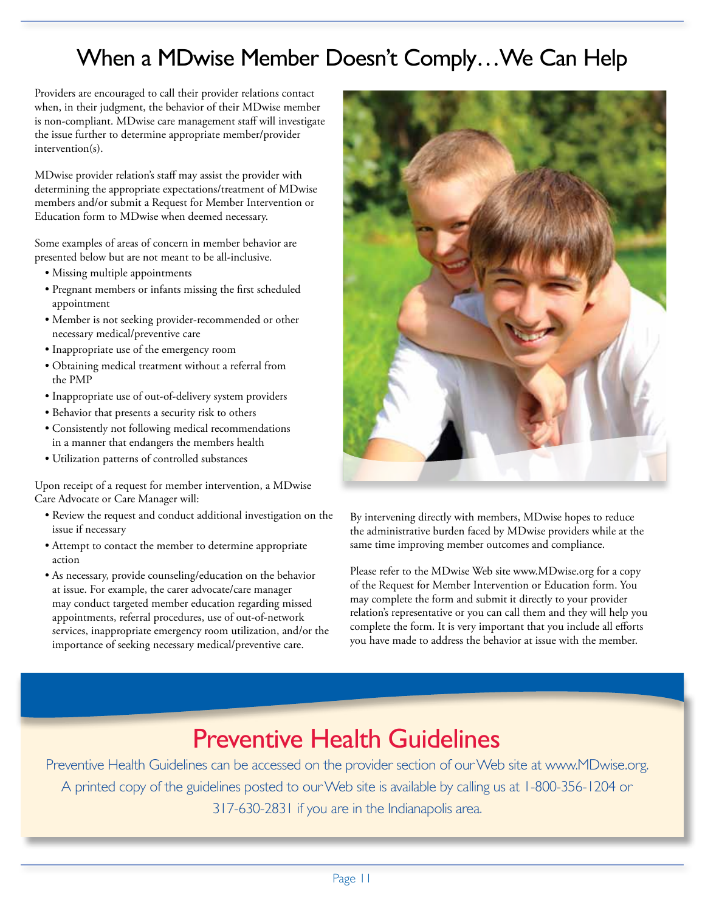## When a MDwise Member Doesn't Comply…We Can Help

Providers are encouraged to call their provider relations contact when, in their judgment, the behavior of their MDwise member is non-compliant. MDwise care management staff will investigate the issue further to determine appropriate member/provider intervention(s).

MDwise provider relation's staff may assist the provider with determining the appropriate expectations/treatment of MDwise members and/or submit a Request for Member Intervention or Education form to MDwise when deemed necessary.

Some examples of areas of concern in member behavior are presented below but are not meant to be all-inclusive.

- Missing multiple appointments
- Pregnant members or infants missing the first scheduled appointment
- Member is not seeking provider-recommended or other necessary medical/preventive care
- Inappropriate use of the emergency room
- Obtaining medical treatment without a referral from the PMP
- Inappropriate use of out-of-delivery system providers
- Behavior that presents a security risk to others
- Consistently not following medical recommendations in a manner that endangers the members health
- Utilization patterns of controlled substances

Upon receipt of a request for member intervention, a MDwise Care Advocate or Care Manager will:

- Review the request and conduct additional investigation on the issue if necessary
- Attempt to contact the member to determine appropriate action
- As necessary, provide counseling/education on the behavior at issue. For example, the carer advocate/care manager may conduct targeted member education regarding missed appointments, referral procedures, use of out-of-network services, inappropriate emergency room utilization, and/or the importance of seeking necessary medical/preventive care.



By intervening directly with members, MDwise hopes to reduce the administrative burden faced by MDwise providers while at the same time improving member outcomes and compliance.

Please refer to the MDwise Web site www.MDwise.org for a copy of the Request for Member Intervention or Education form. You may complete the form and submit it directly to your provider relation's representative or you can call them and they will help you complete the form. It is very important that you include all efforts you have made to address the behavior at issue with the member.

# Preventive Health Guidelines

Preventive Health Guidelines can be accessed on the provider section of our Web site at www.MDwise.org. A printed copy of the guidelines posted to our Web site is available by calling us at 1-800-356-1204 or 317-630-2831 if you are in the Indianapolis area.